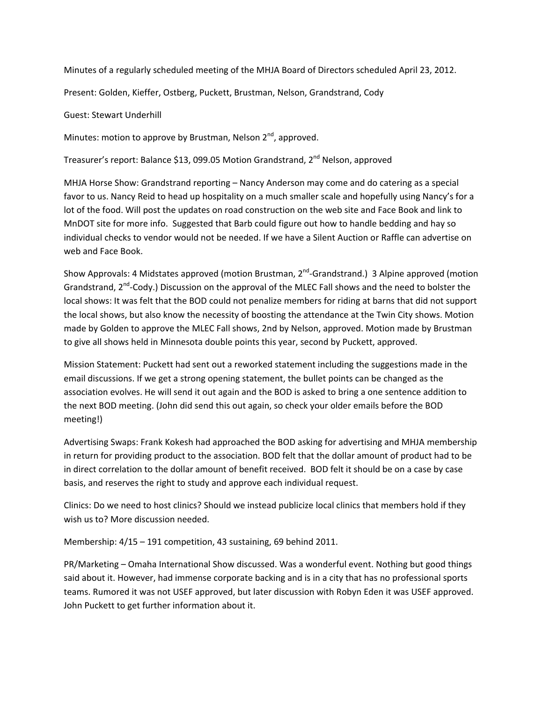Minutes of a regularly scheduled meeting of the MHJA Board of Directors scheduled April 23, 2012.

Present: Golden, Kieffer, Ostberg, Puckett, Brustman, Nelson, Grandstrand, Cody

Guest: Stewart Underhill

Minutes: motion to approve by Brustman, Nelson 2<sup>nd</sup>, approved.

Treasurer's report: Balance \$13, 099.05 Motion Grandstrand, 2<sup>nd</sup> Nelson, approved

MHJA Horse Show: Grandstrand reporting – Nancy Anderson may come and do catering as a special favor to us. Nancy Reid to head up hospitality on a much smaller scale and hopefully using Nancy's for a lot of the food. Will post the updates on road construction on the web site and Face Book and link to MnDOT site for more info. Suggested that Barb could figure out how to handle bedding and hay so individual checks to vendor would not be needed. If we have a Silent Auction or Raffle can advertise on web and Face Book.

Show Approvals: 4 Midstates approved (motion Brustman, 2<sup>nd</sup>-Grandstrand.) 3 Alpine approved (motion Grandstrand, 2<sup>nd</sup>-Cody.) Discussion on the approval of the MLEC Fall shows and the need to bolster the local shows: It was felt that the BOD could not penalize members for riding at barns that did not support the local shows, but also know the necessity of boosting the attendance at the Twin City shows. Motion made by Golden to approve the MLEC Fall shows, 2nd by Nelson, approved. Motion made by Brustman to give all shows held in Minnesota double points this year, second by Puckett, approved.

Mission Statement: Puckett had sent out a reworked statement including the suggestions made in the email discussions. If we get a strong opening statement, the bullet points can be changed as the association evolves. He will send it out again and the BOD is asked to bring a one sentence addition to the next BOD meeting. (John did send this out again, so check your older emails before the BOD meeting!)

Advertising Swaps: Frank Kokesh had approached the BOD asking for advertising and MHJA membership in return for providing product to the association. BOD felt that the dollar amount of product had to be in direct correlation to the dollar amount of benefit received. BOD felt it should be on a case by case basis, and reserves the right to study and approve each individual request.

Clinics: Do we need to host clinics? Should we instead publicize local clinics that members hold if they wish us to? More discussion needed.

Membership: 4/15 – 191 competition, 43 sustaining, 69 behind 2011.

PR/Marketing – Omaha International Show discussed. Was a wonderful event. Nothing but good things said about it. However, had immense corporate backing and is in a city that has no professional sports teams. Rumored it was not USEF approved, but later discussion with Robyn Eden it was USEF approved. John Puckett to get further information about it.